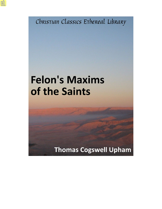Christian Classics Ethereal Library

# **Felon's Maxims** of the Saints

**Thomas Cogswell Upham**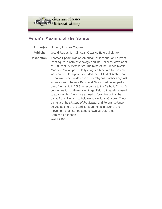Christian Classics<br>Ethereal Library

### **Felon's Maxims of the Saints**

**Author(s):** Upham, Thomas Cogswell **Publisher:** Grand Rapids, MI: Christian Classics Ethereal Library **Description:** Thomas Upham was an American philosopher and a prominent figure in both psychology and the Holiness Movement of 19th century Methodism. The mind of the French mystic Madame Guyon particularly intrigued him. In a two volume work on her life, Upham included the full text of Archbishop Felon's (or Fénelon) defense of her religious practices against accusations of heresy. Felon and Guyon had developed a deep friendship in 1688. In response to the Catholic Church's condemnation of Guyon's writings, Felon ultimately refused to abandon his friend. He argued in forty-five points that saints from all eras had held views similar to Guyon's.These points are the *Maxims of the Saints*, and Felon's defense serves as one of the earliest arguments in favor of the movement that later became known as Quietism. Kathleen O'Bannon CCEL Staff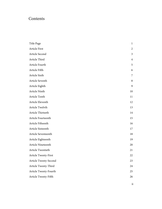## Contents

| Title Page            | $\mathbf{1}$   |
|-----------------------|----------------|
| Article First         | $\overline{2}$ |
| Article Second        | 3              |
| Article Third         | $\overline{4}$ |
| Article Fourth        | $\mathfrak s$  |
| Article Fifth         | 6              |
| Article Sixth         | 7              |
| Article Seventh       | 8              |
| Article Eighth        | 9              |
| Article Ninth         | 10             |
| Article Tenth         | 11             |
| Article Eleventh      | 12             |
| Article Twelvth       | 13             |
| Article Thirteeth     | 14             |
| Article Fourteenth    | 15             |
| Article Fifteenth     | 16             |
| Article Sixteenth     | 17             |
| Article Seventeenth   | 18             |
| Article Eighteenth    | 19             |
| Article Nineteenth    | 20             |
| Article Twentieth     | 21             |
| Article Twenty-First  | 22             |
| Article Twenty-Second | 23             |
| Article Twenty-Third  | 24             |
| Article Twenty-Fourth | 25             |
| Article Twenty-Fifth  | 26             |
|                       |                |

ii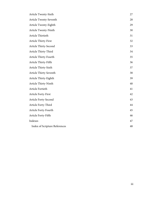| Article Twenty-Sixth                 | 27 |
|--------------------------------------|----|
| Article Twenty-Seventh               | 28 |
| Article Twenty-Eighth                | 29 |
| Article Twenty-Ninth                 | 30 |
| Article Thirtieth                    | 31 |
| Article Thirty-First                 | 32 |
| Article Thirty-Second                | 33 |
| Article Thirty-Third                 | 34 |
| Article Thirty-Fourth                | 35 |
| Article Thirty-Fifth                 | 36 |
| Article Thirty-Sixth                 | 37 |
| Article Thirty-Seventh               | 38 |
| Article Thirty-Eighth                | 39 |
| Article Thirty-Ninth                 | 40 |
| Article Fortieth                     | 41 |
| Article Forty-First                  | 42 |
| Article Forty-Second                 | 43 |
| Article Forty-Third                  | 44 |
| Article Forty-Fourth                 | 45 |
| Article Forty-Fifth                  | 46 |
| Indexes                              | 47 |
| <b>Index of Scripture References</b> | 48 |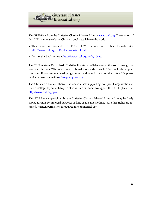

This PDF file is from the Christian Classics Ethereal Library, [www.ccel.org.](http://www.ccel.org) The mission of the CCEL is to make classic Christian books available to the world.

- This book is available in PDF, HTML, ePub, and other formats. See [http://www.ccel.org/ccel/upham/maxims.html.](http://www.ccel.org/ccel/upham/maxims.html)
- Discuss this book online at [http://www.ccel.org/node/20665.](http://www.ccel.org/node/20665)

The CCEL makes CDs of classic Christian literature available around the world through the Web and through CDs. We have distributed thousands of such CDs free in developing countries. If you are in a developing country and would like to receive a free CD, please send a request by email to [cd-request@ccel.org.](mailto:cd-request@ccel.org)

The Christian Classics Ethereal Library is a self supporting non-profit organization at Calvin College. If you wish to give of your time or money to support the CCEL, please visit [http://www.ccel.org/give.](http://www.ccel.org/give)

This PDF file is copyrighted by the Christian Classics Ethereal Library. It may be freely copied for non-commercial purposes as long as it is not modified. All other rights are reserved. Written permission is required for commercial use.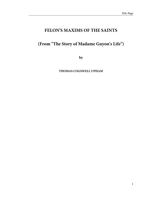## <span id="page-5-0"></span>**FELON'S MAXIMS OF THE SAINTS**

# **(From "The Story of Madame Guyon's Life")**

**by**

**THOMAS COGSWELL UPHAM**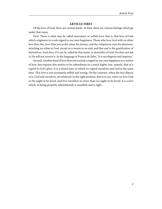#### **ARTICLE FIRST**

<span id="page-6-0"></span>Of the love of God, there are various kinds. At least, there are various feelings which go under that name.

First, There is what may be called mercenary or selfish love; that is, that love of God which originates in a sole regard to our own happiness. Those who love God with no other love than this, love Him just as the miser his money, and the voluptuous man his pleasures; attaching no value to God, except as a means to an end; and that end is the gratification of themselves. Such love, if it can be called by that name, is unworthy of God. He does not ask it; He will not receive it. In the language of Francis de Sales, "it is sacrilegious and impious."

Second, Another kind of love does not exclude a regard to our own happiness as a motive of love, but requires this motive to be subordinate to a much higher one, namely, that of  $a$ regard to God's glory. It is a mixed state, in which we regard ourselves and God at the same time. This love is not necessarily selfish and wrong. On the contrary, when the two objects of it, God and ourselves, are relatively in the right position, that is to say, when we love God as He ought to be loved, and love ourselves no more than we ought to be loved, it is a love which, in being properly subordinated, is unselfish and is right.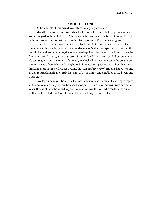#### **ARTICLE SECOND**

<span id="page-7-0"></span>I. Of the subjects of this mixed love all are not equally advanced.

II. Mixed love becomes pure love, when the love of self is relatively, though not absolutely, lost in a regard to the will of God. This is always the case, when the two objects are loved in their due proportion. So that pure love is mixed love when it is combined rightly.

III. Pure love is not inconsistent with mixed love, but is mixed love carried to its true result. When this result is attained, the motive of God's glory so expands itself, and so fills the mind, that the other motive, that of our own happiness, becomes so small, and so recedes from our inward notice, as to be *practically* annihilated. It is then that God becomes what He ever ought to be - the center of the soul, to which all its affections tend; the great moral sun of the soul, from which all its light and all its warmth proceed. It is then that a man thinks no more of himself. He has become the man of a "single eye." His own happiness, and all that regards himself, is entirely lost sight of in his simple and *fixed* look to God's will and God's glory.

IV. We lay ourselves at His feet. Self is known no more; not because it is wrong to regard and to desire our own good, but because the object of desire is withdrawn from our notice. When the sun shines, the stars disappear. When God is in the sou1 who can think of himself? So that we love God, and God alone; and all other things in and for God.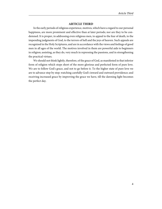#### **ARTICLE THIRD**

<span id="page-8-0"></span>In the early periods of religious experience, motives, which have a regard to our personal happiness, are more prominent and effective than at later periods; nor are they to be condemned. It is proper, in addressing even religious men, to appeal to the fear of death, to the impending judgments of God, to the terrors of hell and the joys of heaven. Such appeals are recognized in the Holy Scriptures, and are in accordance with the views and feelings of good men in all ages of the world. The motives involved in them are powerful aids to beginners in religion; assisting, as they do, very much in repressing the passions, and in strengthening the practical virtues.

We should not think lightly, therefore, of the grace of God, as manifested in that inferior form of religion which stops short of the more glorious and perfected form of pure love. We are to follow God's grace, and not to go before it. To the higher state of pure love we are to advance step by step; watching carefully God's inward and outward providence; and receiving increased grace by improving the grace we have, till the dawning light becomes the perfect day.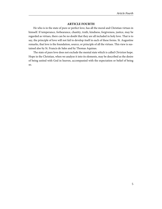#### **ARTICLE FOURTH**

<span id="page-9-0"></span>He who is in the state of pure or perfect love, has all the moral and Christian virtues in himself. If temperance, forbearance, chastity, truth, kindness, forgiveness, justice, may be regarded as virtues, there can be no doubt that they are all included in holy love. That is to say, the principle of love will not fail to develop itself in each of these forms. St. Augustine remarks, that love is the foundation, source, or principle of all the virtues. This view is sustained also by St. Francis de Sales and by Thomas Aquinas.

The state of pure love does not exclude the mental state which is called Christian hope. Hope in the Christian, when we analyze it into its elements, may be described as the desire of being united with God in heaven, accompanied with the expectation or belief of being so.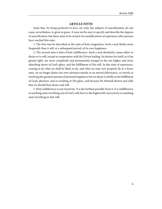#### **ARTICLE FIFTH**

<span id="page-10-0"></span>Souls that, by being perfected in love, are truly the subjects of sanctification, do not cease, nevertheless, to grow in grace. It may not be easy to specify and describe the degrees of sanctification; but there seem to be at least two modifications of experience after persons have reached this state.

1. The first may be described as the state of holy resignation. Such a soul thinks more frequently than it will, at a subsequent period, of its own happiness.

2. The second state is that of holy indifference. Such a soul absolutely ceases either to desire or to will, except in cooperation with the Divine leading. Its desires for itself, as it has greater light, are more completely and permanently merged in the one higher and more absorbing desire of God's glory, and the fulfillment of His will. In this state of experience, ceasing to do what we shall be likely to do, and what we may very properly do in a lower state, we no longer desire our own salvation merely as an eternal deliverance, or merely as involving the greatest amount of personal happiness; but we desire it chiefly as the fulfillment of God's pleasure, and as resulting in His glory, and because He Himself desires and wills that we should thus desire and will.

3. Holy indifference is not inactivity. It is the furthest possible from it. It is indifference to anything and everything out of God's will; but it is the highest life and activity to anything and everything in that will.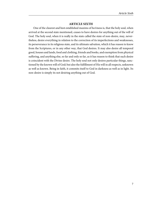#### **ARTICLE SIXTH**

<span id="page-11-0"></span>One of the clearest and best established maxims of ho1iness is, that the holy soul, when arrived at the second state mentioned, ceases to have desires for anything out of the will of God. The holy soul, when it is really in the state called the state of non-desire, may, nevertheless, desire everything in relation to the correction of its imperfections and weaknesses, its perseverance in its religious state, and its ultimate salvation, which it has reason to know from the Scriptures, or in any other way, that God desires. It may also desire all temporal good, houses and lands, food and clothing, friends and books, and exemption from physical suffering, and anything else, so far and only so far, as it has reason to think that such desire is coincident with the Divine desire. The holy soul not only desires particular things, sanctioned by the known will of God; but also the fulfillment of His will in all respects, unknown as well as known. Being in faith, it commits itself to God in darkness as well as in light. Its non-desire is simply its not desiring anything out of God.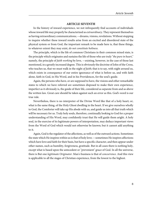#### **ARTICLE SEVENTH**

<span id="page-12-0"></span>In the history of inward experience, we not infrequently find accounts of individuals whose inward life may properly be characterized as *extraordinary*. They represent themselves as having extraordinary communications; —dreams, visions, revelations. Without stopping to inquire whether these inward results arise from an excited and disordered state of the physical system or from God, the important remark to be made here is, that these things, to whatever extent they may exist, do not constitute holiness.

The principle, which is the life of common Christians in their common mixed state, is the principle which originates and sustains the life of those who are truly "the pure in heart," namely, the principle of *faith working* by love, —existing, however, in the case of those last mentioned, in a greatly increased degree. This is obviously the doctrine of John of the Cross, who teaches us, that we must walk in the night of faith; that is to say, with night around us, which exists in consequence of our entire ignorance of what is before us, and with faith alone, faith in God, in His Word, and in his Providences, for the soul's guide.

Again, the persons who have, or are supposed to have, the visions and other remarkable states to which we have referred are sometimes disposed to make their own experience, imperfect as it obviously is, the guide of their life, considered as separate from and as above the written law. Great care should be taken against such an error as this. God's word is our true rule.

Nevertheless, there is no interpreter of the Divine Word like that of a holy heart; or, what is the same thing, of the Holy Ghost dwelling in the heart. If we give ourselves wholly to God, the Comforter will take up His abode with us, and guide us into all that truth which will be necessary for us. Truly holy souls, therefore, continually looking to God for a proper understanding of His Word, may confidently trust that He will guide them aright. A holy soul, in the exercise of its legitimate powers of interpretation, may deduce important views from the Word of God which would not otherwise be known; but it cannot add anything to it.

Again, God is the regulator of the affections, as well as of the outward actions. Sometimes the state which He inspires within us is that of holy love; —sometimes He inspires affections which have love and faith for their basis, but have a specific character, and then appear under other names, such as humility, forgiveness, gratitude. But in all cases there is nothing holy, except what is based upon the antecedent or "prevenient" grace of God. In all the universe, there is But one *legitimate Originator*. Man's business is that of *concurrence*. And this view is applicable to all the stages of Christian experience, from the lowest to the highest.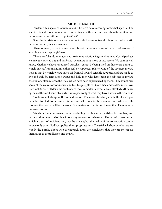#### **ARTICLE EIGHTH**

<span id="page-13-0"></span>Writers often speak of *abandonment*. The term has a meaning somewhat specific. The soul in this state does not renounce everything, and thus become brutish in its indifference; but renounces everything except God's will.

Souls in the state of abandonment, not only forsake outward things, but, what is still more important, forsake themselves.

Abandonment, or self-renunciation, is not the renunciation of faith or of love or of anything else, except selfishness.

The state of abandonment, or entire self-renunciation, is generally attended, and perhaps we may say, carried out and perfected, by temptations more or less severe. We cannot well know, whether we have renounced ourselves, except by being tried on those very points to which our self-renunciation, either real or supposed, relates. One of the severest inward trials is that by which we are taken off from all inward sensible supports, and are made to live and walk by faith alone. Pious and holy men who have been the subjects of inward crucifixion, often refer to the trials which have been experienced by them. They sometimes speak of them as a sort of inward and terrible purgatory. "Only mad and wicked men," says Cardinal Bona, "will deny the existence of these remarkable experiences, attested as they are by men of the most venerable virtue, who speak only of what they have known in themselves."

Trials are not always of the same duration. The more cheerfully and faithfully we give ourselves to God, to be smitten in any and all of our idols, whenever and wherever He chooses, the shorter will be the work. God makes us to suffer no longer than He sees to be necessary for us.

We should not be premature in concluding that inward crucifixion is complete, and our abandonment to God is without any reservation whatever. The act of consecration, which is a sort of incipient step, may be sincere; but the reality of the consecration can be known only when God has applied the appropriate tests. The trial will show whether we are wholly the Lord's. Those who prematurely draw the conclusion that they are so, expose themselves to great illusion and injury.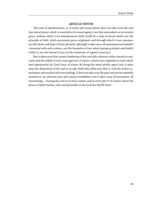#### **ARTICLE NINTH**

<span id="page-14-0"></span>The state of abandonment, or of entire self-renunciation, does not take from the soul that moral power which is essential to its moral agency; nor that antecedent or prevenient grace, without which even abandonment itself would be a state of moral death; nor the principle of faith, which prevenient grace originated, and through which it now operates; nor the desire and hope of final salvation, although it takes away all uneasiness and unbelief connected with such a desire; nor the fountains of love which spring up deeply and freshly within it; nor the hatred of sin; nor the testimony of a good conscience.

But it takes away that uneasy hankering of the soul after pleasure either inward or outward, and the selfish vivacity and eagerness of nature, which is too impatient to wait calmly and submissively for God's time of action. By fixing the mind wholly upon God, it takes away the disposition of the soul to occupy itself with reflex acts; that is, with the undue examination and analysis of its own feelings. It does not take away the pain and sorrow naturally incident to our physical state and natural sensibilities; but it takes away all uneasiness, all murmuring; —leaving the soul in its inner nature, and in every part of its nature where the power of faith reaches, calm and peaceable as the God that dwells there.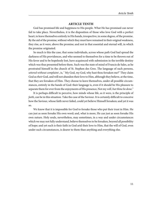#### **ARTICLE TENTH**

<span id="page-15-0"></span>God has promised life and happiness to His people. What He has promised can never fail to take place. Nevertheless, it is the disposition of those who love God with a perfect heart, to leave themselves entirely in His hands, irrespective, in some degree, of the promise. By the aid of the promise, without which they must have remained in their original weakness, they rise, as it were, above the promise; and rest in that essential and eternal will, in which the promise originated.

So much is this the case, that some individuals, across whose path God had spread the darkness of His providences, and who seemed to themselves for a time to be thrown out of His favor and to be hopelessly lost, have acquiesced with submission in the terrible destiny which was thus presented before them. Such was the state of mind of Francis de Sales, as he prostrated himself in the church of St. Stephen des Grez. The language of such persons, uttered without complaint, is, " My God, my God, why hast thou forsaken me?" They claim God as their God, and will not abandon their love to Him, although they believe, at the time, that they are forsaken of Him. They choose to leave themselves, under all possible circumstances, entirely in the hands of God: their language is, even if it should be His pleasure to separate them for ever from the enjoyments of His presence, Not my will, but thine be done."

It is perhaps difficult to perceive, how minds whose life, as it were, is the principle of faith, can be in this situation. Take the case of the Saviour. It is certainly difficult to conceive how the Saviour, whose faith never failed, could yet believe Himself forsaken; and yet it was so.

We know that it is impossible for God to forsake those who put their trust in Him. He can just as soon forsake His own word; and, what is more, He can just as soon forsake His own nature. Holy souls, nevertheless, may sometimes, in a way and under circumstances which we may not fully understand, believe themselves to be forsaken, beyond all possibility of hope; and yet such is their faith in God arid their love to Him, that the will of God, even under such circumstances, is dearer to them than anything and everything else.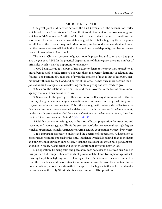#### **ARTICLE ELEVENTH**

<span id="page-16-0"></span>One great point of difference between the First Covenant, or the covenant of works, which said to men, "Do this and live," and the Second Covenant, or the covenant of grace, which says, "Believe and live," is this:  $-$  The first covenant did not lead men to anything that was perfect. It showed men what was right and good; but it failed in giving them the power to fulfill what the covenant required. Men not only understood what was right and good, but they knew what was evil; but, in their love and practice of depravity, they had no longer power of themselves to flee from it.

The new or Christian covenant of grace, not only prescribes and commands, but gives also the *power to fulfill*. In the practical dispensations of divine grace, there are number of principles which it may be important to remember.

1. God being LOVE, it is a part of His nature to desire to communicate Himself to all moral beings, and to make Himself one with them in a perfect harmony of relations and feelings. The position of God is that of giver; the position of man is that of recipient. Harmonized with man by the blood and power of the Cross, he has once more become the *in*finite fullness, the original and overflowing fountain, giving and ever ready to give.

2. Such are the relations between God and man, involved in the fact of man's moral agency, that man's business is to receive.

<span id="page-16-1"></span>3. Souls true to the grace given them, will never suffer any diminution of it. On the contrary, the great and unchangeable condition of continuance and of growth in grace is cooperation with what we now have. This is the law of growth, not only deducible from the Divine nature, but expressly revealed and declared in the Scriptures: —"For whosoever hath, to him shall be given, and he shall have more abundance; but whosoever hath not, from him shall be taken away even that he hath." [\(Matt. xiii. 12](http://www.ccel.org/study/Bible:Matt.13.12)).

A faithful cooperation with grace, is the most effectual preparation for attracting and receiving and increasing grace. This is the great secret of advancement to those high degrees which are permitted; namely, a strict, unwavering, faithful cooperation, moment by moment.

4. It is important correctly to understand the doctrine of cooperation. A disposition to cooperate, is not more opposed to the sinful indolence which falls behind, than to the hasty and unrighteous zeal which runs before. It is in the excess of zeal, which has a good appearance, but in reality has unbelief and self at the bottom, that we run before God.

5. Cooperation, by being calm and peaceable, does not cease to be efficacious. Souls in this purified but tranquil state are souls of power; watchful and triumphant against self; resisting temptation; fighting even to blood against sin. But it is, nevertheless, a combat free from the turbulence and inconsistencies of human passion; because they contend in the presence of God, who is their strength, in the spirit of the highest faith and love, and under the guidance of the Holy Ghost, who is always tranquil in His operations.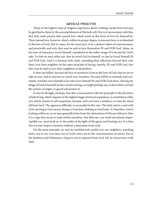#### **ARTICLE TWELVTH**

<span id="page-17-0"></span>Those in the highest state of religions experience desire nothing, except that God may be glorified in them by the accomplishment of His holy will. Nor is it inconsistent with this, that holy souls possess that natural love which exists in the form of love for themselves. Their natural love, however, which, within its proper degree, is innocent love, is so absorbed in the love of God, that it ceases, for the most part, to be a distinct object of consciousness; and practically and truly they may be said to love themselves IN and FOR God. Adam, in his state of innocence, loved himself, considered as the reflex image of God and for God's sake. So that we may either say, that he loved God in himself, or that he loved himself IN and FOR God. And it is because holy souls, extending their affections beyond their own limit, love their neighbor on the same principle of loving, namely, IN and FOR God, that they may be said to love their neighbors as themselves.

It does not follow, because the love of ourselves is lost in the love of God, that we are to take no care, and to exercise no watch over ourselves. No man will be so seriously and constantly watchful over himself as he who loves himself IN and FOR God alone. Having the image of God in himself, he has a motive strong, we might perhaps say, as that which controls the actions of angels, to guard and protect it.

It may be thought, perhaps, that this is inconsistent with the principle in the doctrines of holy living, which requires in the highest stages of inward experience, to avoid those reflex acts which consist in self-inspection, because such acts have a tendency to turn the mind off from God. The apparent difficulty is reconciled in this way. The holy soul is a soul with God; moving as God moves; doing as God does; looking as God looks. If, therefore, God is looking within us, as we may generally learn from the intimations of His providences, then it is a sign that we are to look within ourselves. Our little eye, our small and almost imperceptible ray, must look in, in the midst of the light of His great and burning eye. It is thus that we may inspect ourselves without a separation from God.

On the same principle, we may be watchful and careful over our neighbors; watching them, not in our own time, but in God's time; not in the censoriousness of nature, but in the kindness and forbearance of grace; not as separate from God, but in concurrence with Him.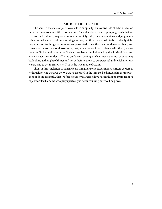#### **ARTICLE THIRTEENTH**

<span id="page-18-0"></span>The soul, in the state of pure love, acts in simplicity. Its inward rule of action is found in the decisions of a sanctified conscience. These decisions, based upon judgments that are free from self-interest, may not always be absolutely right, because our views and judgments, being limited, can extend only to things in part; but they may be said to be relatively right: they conform to things so far as we are permitted to see them and understand them, and convey to the soul a moral assurance, that, when we act in accordance with them, we are doing as God would have us do. Such a conscience is enlightened by the Spirit of God; and when we act thus, under its Divine guidance, looking at what now is and not at what may be, looking at the right of things and not at their relations to our personal and selfish interests, we are said to act in simplicity. This is the true mode of action.

Thus, in this singleness of spirit, we do things, as some experimental writers express it, without knowing what we do. We are so absorbed in the thing to be done, and in the importance of doing it rightly, that we forget ourselves. Perfect love has nothing to spare from its object for itself, and he who prays perfectly is never thinking how well he prays.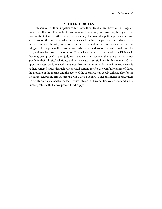#### **ARTICLE FOURTEENTH**

<span id="page-19-0"></span>Holy souls are without impatience, but not without trouble; are above murmuring, but not above affliction. The souls of those who are thus wholly in Christ may be regarded in two points of view, or rather in two parts; namely, the natural appetites, propensities, and affections, on the one hand, which may be called the inferior part; and the judgment, the moral sense, and the will, on the other, which may be described as the superior part. As things are, in the present life, those who are wholly devoted to God may suffer in the inferior part, and may be at rest in the superior. Their wills may be in harmony with the Divine will; they may be approved in their judgments and conscience, and at the same time may suffer greatly in their physical relations, and in their natural sensibilities. In this manner, Christ upon the cross, while His will remained firm in its union with the will of His heavenly Father, suffered much through His physical system; He felt the painful longings of thirst, the pressure of the thorns, and the agony of the spear. He was deeply afflicted also for the friends He left behind Him, and for a dying world. But in His inner and higher nature, where He felt Himself sustained by the secret voice uttered in His sanctified conscience and in His unchangeable faith, He was peaceful and happy.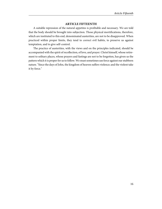#### **ARTICLE FIFTEENTH**

<span id="page-20-0"></span>A suitable repression of the natural appetites is profitable and necessary. We are told that the body should be brought into subjection. Those physical mortifications, therefore, which are instituted to this end, denominated austerities, are not to be disapproved. When practiced within proper limits, they tend to correct evil habits, to preserve us against temptation, and to give self-control.

The practice of austerities, with the views and on the principles indicated, should be accompanied with the spirit of recollection, of love, and prayer. Christ himself, whose retirement to solitary places, whose prayers and fastings are not to be forgotten, has given us the pattern which it is proper for us to follow. We must sometimes use force against our stubborn nature. "Since the days of John, the kingdom of heaven suffers violence; and the violent take it by force."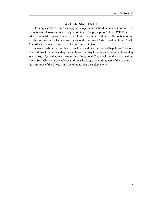#### **ARTICLE SIXTEENTH**

<span id="page-21-0"></span>The simple desire of our own happiness, kept in due subordination, is innocent. This desire is natural to us; and is properly denominated the principle of SELF-LOVE. When the principle of self-love passes its appropriate limit, it becomes selfishness. Self-love is innocent; selfishness is wrong. Selfishness was the sin of the first angel, "who rested in himself," as St. Augustine expresses it, instead of referring himself to God.

In many Christians a prominent principle of action is the desire of happiness. They love God and they love heaven; they love holiness, and they love the pleasures of holiness; they love to do good, and they love the rewards of doing good. This is well; but there is something better. Such Christians are inferior to those who forget the nothingness of the creature in the infinitude of the Creator, and love God for His own glory alone.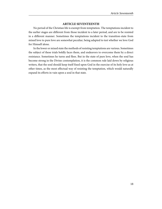#### **ARTICLE SEVENTEENTH**

<span id="page-22-0"></span>No period of the Christian life is exempt from temptation. The temptations incident to the earlier stages are different from those incident to a later period, and are to be resisted in a different manner. Sometimes the temptations incident to the transition-state from mixed love to pure love are somewhat peculiar, being adapted to test whether we love God for Himself alone.

In the lower or mixed state the methods of resisting temptations are various. Sometimes the subject of these trials boldly faces them, and endeavors to overcome them by a direct resistance. Sometimes he turns and flees. But in the state of pure love, when the soul has become strong in the Divine contemplation, it is the common rule laid down by religious writers, that the soul should keep itself fixed upon God in the exercise of its holy love as at other times, as the most effectual way of resisting the temptation, which would naturally expand its efforts in vain upon a soul in that state.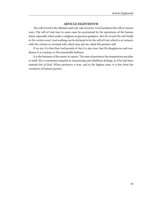#### **ARTICLE EIGHTEENTH**

<span id="page-23-0"></span>The will of God is the ultimate and only rule of action. God manifests His will in various ways. The will of God may in some cases be ascertained by the operations of the human mind, especially when under a religious or gracious guidance. But He reveals His will chiefly in His written word. And nothing can be declared to be the will of God, which is at variance with His written or revealed will, which may also be called His positive will.

If we sin, it is that that God permits it; but it is also true, that He disapproves and condemns it as contrary to His immutable holiness.

It is the business of the sinner to repent. The state of penitence has temptations peculiar to itself. He is sometimes tempted to murmuring and rebellious feelings, as if he had been unjustly left of God. When penitence is true, and in the highest state, it is free from the variations of human passion.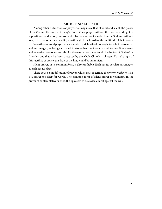#### **ARTICLE NINETEENTH**

<span id="page-24-0"></span>Among other distinctions of prayer, we may make that of vocal and silent, the prayer of the lips and the prayer of the affections. Vocal prayer, without the heart attending it, is superstitious and wholly unprofitable. To pray without recollection in God and without love, is to pray as the heathen did, who thought to be heard for the multitude of their words.

Nevertheless, vocal prayer, when attended by right affections, ought to be both recognized and encouraged, as being calculated to strengthen the thoughts and feelings it expresses, and to awaken new ones, and also for the reason that it was taught by the Son of God to His Apostles, and that it has been practiced by the whole Church in all ages. To make light of this sacrifice of praise, this fruit of the lips, would be an impiety.

Silent prayer, in its common form, is also profitable. Each has its peculiar advantages, as each has its place.

There is also a modification of prayer, which may be termed the *prayer of silence*. This is a prayer too deep for words. The common form of silent prayer is voluntary. In the prayer of contemplative silence, the lips seem to be closed almost against the will.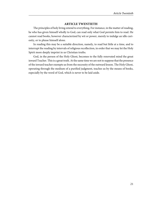#### **ARTICLE TWENTIETH**

<span id="page-25-0"></span>The principles of holy living extend to everything. For instance, in the matter of reading, he who has given himself wholly to God, can read only what God permits him to read. He cannot read books, however characterized by wit or power, merely to indulge an idle curiosity, or to please himself alone.

In reading this may be a suitable direction, namely, to read but little at a time, and to interrupt the reading by intervals of religious recollection, in order that we may let the Holy Spirit more deeply imprint in us Christian truths.

God, in the person of the Holy Ghost, becomes to the fully renovated mind the great inward Teacher. This is a great truth. At the same time we are not to suppose that the presence of the inward teacher exempts us from the necessity of the outward lesson. The Holy Ghost, operating through the medium of a purified judgment, teaches us by the means of books, especially by the word of God, which is never to be laid aside.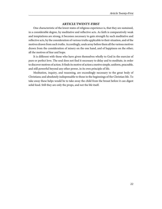#### **ARTICLE TWENTY-FIRST**

<span id="page-26-0"></span>One characteristic of the lower states of religious experience is, that they are sustained, in a considerable degree, by meditative and reflective acts. As faith is comparatively weak and temptations are strong, it becomes necessary to gain strength by such meditative and reflective acts, by the consideration of various truths applicable to their situation, and of the motives drawn from such truths. Accordingly, souls array before them all the various motives drawn from the consideration of misery on the one hand, and of happiness on the other; all the motives of fear and hope.

It is different with those who have given themselves wholly to God in the exercise of pure or perfect love. The soul does not find it necessary to delay and to meditate, in order to discover motives of action. It finds its motive of action a motive simple, uniform, peaceable, and still powerful beyond any other power, in its own principle of life.

Meditation, inquiry, and reasoning, are exceedingly necessary to the great body of Christians; and absolutely indispensable to those in the beginnings of the Christian life. To take away these helps would be to take away the child from the breast before it can digest solid food. Still they are only the props, and not the life itself.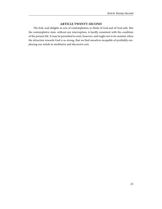#### **ARTICLE TWENTY-SECOND**

<span id="page-27-0"></span>The holy soul delights in acts of contemplation; to think of God and of God only. But the contemplative state, without any interruption, is hardly consistent with the condition of the present life. It may be permitted to exist, however, and ought not to be resisted, when the attraction towards God is so strong, that we find ourselves incapable of profitably employing our minds in meditative and discursive acts.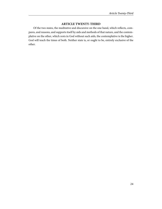#### **ARTICLE TWENTY-THIRD**

<span id="page-28-0"></span>Of the two states, the meditative and discursive on the one hand, which reflects, compares, and reasons, and supports itself by aids and methods of that nature, and the contemplative on the other, which rests in God without such aids, the contemplative is the higher. God will teach the times of both. Neither state is, or ought to be, entirely exclusive of the other.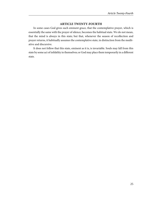#### **ARTICLE TWENTY-FOURTH**

<span id="page-29-0"></span>In some cases God gives such eminent grace, that the contemplative prayer, which is essentially the same with the prayer of silence, becomes the habitual state. We do not mean, that the mind is always in this state; but that, whenever the season of recollection and prayer returns, it habitually assumes the contemplative state, in distinction from the meditative and discursive.

It does not follow that this state, eminent as it is, is invariable. Souls may fall from this state by some act of infidelity in themselves; or God may place them temporarily in a different state.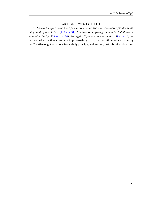#### **ARTICLE TWENTY-FIFTH**

<span id="page-30-2"></span><span id="page-30-1"></span><span id="page-30-0"></span>"Whether, therefore," says the Apostle, "you eat or drink, or whatsoever you do, do all things to the glory of God," ([1 Cor. x. 31](http://www.ccel.org/study/Bible:1Cor.10.31)). And in another passage he says, "Let all things be done with charity," [\(1 Cor. xvi. 14](http://www.ccel.org/study/Bible:1Cor.16.14)). And again, "By love serve one another," [\(Gal. v. 13\)](http://www.ccel.org/study/Bible:Gal.5.13):  $$ passages which, with many others, imply two things; first, that everything which is done by the Christian ought to be done from a holy principle; and, second, that this principle is love.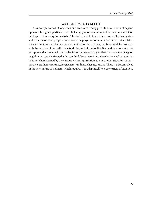#### **ARTICLE TWENTY SIXTH**

<span id="page-31-0"></span>Our acceptance with God, when our hearts are wholly given to Him, does not depend upon our being in a particular state, but simply upon our being in that state in which God in His providence requires us to be. The doctrine of holiness, therefore, while it recognizes and requires, on its appropriate occasions, the prayer of contemplation or of contemplative silence, is not only not inconsistent with other forms of prayer, but is not at all inconsistent with the practice of the ordinary acts, duties, and virtues of life. It would be a great mistake to suppose, that a man who bears the Saviour's image, is any the less on that account a good neighbor or a good citizen; that he can think less or work less when he is called to it; or that he is not characterized by the various virtues, appropriate to our present situation, of temperance, truth, forbearance, forgiveness, kindness, chastity, justice. There is a law, involved in the very nature of holiness, which requires it to adapt itself to every variety of situation.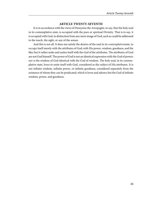#### **ARTICLE TWENTY-SEVENTH**

<span id="page-32-0"></span>It is in accordance with the views of Dionysius the Areopagite, to say, that the holy soul in its contemplative state, is occupied with the pure or spiritual Divinity. That is to say, it is occupied with God, in distinction from any mere image of God, such as could be addressed to the touch, the sight, or any of the senses.

And this is not all. It does not satisfy the desires of the soul in its contemplativestate, to occupy itself merely with the attributes of God; with His power, wisdom, goodness, and the like; but it rather seeks and unites itself with the God of the attributes. The attributes of God are not God himself. The power of God is not an identical expression with the God of power; nor is the wisdom of God identical with the God of wisdom. The holy soul, in its contemplative state, loves to unite itself with God, considered as the subject of His attributes. It is not infinite wisdom, infinite power, or infinite goodness, considered separately from the existence of whom they can be predicated, which it loves and adores; but the God of infinite wisdom, power, and goodness.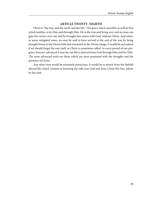#### **ARTICLE TWENTY- EIGHTH**

<span id="page-33-0"></span>Christ is "the way, and the truth, and the life." The grace which sanctifies as well as that which justifies, is by Him and through Him. He is the true and living way; and no man can gain the victory over sin, and be brought into union with God, without Christ. And when, in some mitigated sense, we may be said to have arrived at the end of the way by being brought home to the Divine fold and reinstated in the Divine image, it would be sad indeed if we should forget the way itself, as Christ is sometimes called. At every period of our progress, however advanced it may be, our life is derived from God through Him and for Him. The most advanced souls are those which are most possessed with the thoughts and the presence of Christ.

Any other view would be extremely pernicious. It would be to snatch from the faithful eternal life, which consists in knowing the only true God and Jesus Christ His Son, whom he has sent.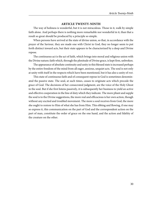#### **ARTICLE TWENTY-NINTH**

<span id="page-34-0"></span>The way of holiness is wonderful, but it is not miraculous. Those in it, walk by simple faith alone. And perhaps there is nothing more remarkable nor wonderful in it, than that a result so great should be produced by a principle so simple.

When persons have arrived at the state of divine union, so that, in accordance with the prayer of the Saviour, they are made one with Christ in God, they no longer seem to put forth distinct inward acts, but their state appears to be characterized by a deep and Divine repose.

The continuous act is the act of faith, which brings into moral and religious union with the Divine nature; faith which, through the plenitude of Divine grace, is kept firm, unbroken.

The appearance of absolute continuity and unity in this blessed state is increased perhaps by the entire freedom of the mind from all eager, anxious, unquiet acts. The soul is not only at unity with itself in the respects which have been mentioned, but it has also a unity of rest.

This state of continuous faith and of consequent repose in God is sometimes denominated the passive state. The soul, at such times, ceases to originate acts which precede the grace of God. The decisions of her consecrated judgment, are the voice of the Holy Ghost in the soul. But if she first listens passively, it is subsequently her business to yield an active and effective cooperation in the line of duty which they indicate. The more pliant and supple the soul is to the Divine suggestions, the more real and efficacious is her own action, though without any excited and troubled movement. The more a soul receives from God, the more she ought to restore to Him of what she has from Him. This ebbing and flowing, if one may so express it, this communication on the part of God and the correspondent action on the part of man, constitute the order of grace on the one hand, and the action and fidelity of the creature on the other.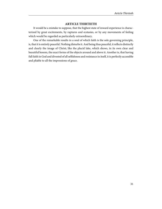#### **ARTICLE THIRTIETH**

<span id="page-35-0"></span>It would be a mistake to suppose, that the highest state of inward experience is characterized by great excitements, by raptures and ecstasies, or by any movements of feeling which would be regarded as particularly extraordinary.

One of the remarkable results in a soul of which faith is the sole governing principle, is, that it is entirely peaceful. Nothing disturbs it. And being thus peaceful, it reflects distinctly and clearly the image of Christ; like the placid lake, which shows, in its own clear and beautiful bosom, the exact forms of the objects around and above it. Another is, that having full faith in God and divested of all selfishness and resistance in itself, it is perfectly accessible and pliable to all the impressions of grace.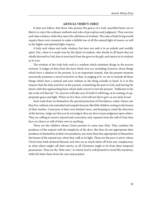#### **ARTICLE THIRTY-FIRST**

<span id="page-36-0"></span>It does not follow, that those who possess the graces of a truly sanctified heart, are at liberty to reject the ordinary methods and rules of perception and judgment. They exercise and value wisdom, while they reject the selfishness of wisdom. The rules of holy living would require them every moment to make a faithful use of all the natural light of reason, as well as the higher and spiritual light of grace.

A holy soul values and seeks wisdom, but does not seek it in an unholy and worldly spirit. Nor, when it is made wise by the Spirit of wisdom, who dwells in all hearts that are wholly devoted to God, does it turn back from the giver to the gift, and rejoice in its wisdom as its own.

The wisdom of the truly holy soul is a wisdom which estimates things in the present moment. It judges of duty from the facts which now are; including, however, those things which have a relation to the present. It is an important remark, that the present moment necessarily possesses a *moral extension*; so that, in judging of it, we are to include all those things which have a natural and near relation to the thing actually in hand. It is in this manner that the holy soul lives in the present, committing the past to God, and leaving the future with that approaching hour which shall convert it into the present. "Sufficient to the day is the evil thereof." To-morrow will take care of itself; it will bring, at its coming, its appropriate grace and light. When we live thus, God will not fail to give us our *daily bread*.

Such souls draw on themselves the special protection of Providence, under whose care they live, without a far extended and unquiet forecast, like little children resting in the bosom of their mother. Conscious of their own limited views, and keeping in mind the direction of the Saviour, *Judge not that you be not judged*, they are slow to pass judgment upon others. They are willing to receive reproof and correction; and, separate from the will of God, they have no choice or will of their own in anything.

These are the children whom Christ permits to come near Him. They combine the prudence of the serpent with the simplicity of the dove. But they do not appropriate their prudence to themselves as their own prudence, any more than they appropriate to themselves the beams of the natural sun, when they walk in its light. These are the poor in spirit, whom Christ Jesus hath declared blessed; and who are as much taken off from any complacency in what others might call their merits, as all Christians ought to be from their temporal possessions. They are the "little ones," to whom God is well pleased to reveal His mysteries, while He hides them from the wise and prudent.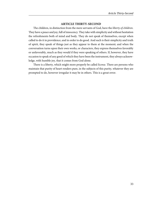#### **ARTICLE THIRTY-SECOND**

<span id="page-37-0"></span>The children, in distinction from the mere servants of God, have the liberty of children. They have a peace and joy, full of innocency. They take with simplicity and without hesitation the refreshments both of mind and body. They do not speak of themselves, except when called to do it in providence, and in order to do good. And such is their simplicity and truth of spirit, they speak of things just as they appear to them at the moment; and when the conversation turns upon their own works, or characters, they express themselves favorably or unfavorably, much as they would if they were speaking of others. If, however, they have occasion to speak of any good of which they have been the instrument, they always acknowledge, with humble joy, that it comes from God alone.

There is a liberty, which might more properly be called *license*. There are persons who maintain that purity of heart renders pure, in the subjects of this purity, whatever they are prompted to do, however irregular it may be in others. This is a great error.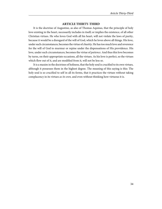#### **ARTICLE THIRTY-THIRD**

<span id="page-38-0"></span>It is the doctrine of Augustine, as also of Thomas Aquinas, that the principle of holy love existing in the heart, necessarily includes in itself; or implies the existence, of all other Christian virtues. He who loves God with all his heart, will not violate the laws of purity, because it would be a disregard of the will of God, which he loves above all things. His love, under such circumstances, becomes the virtue of *chastity*. He has too much love and reverence for the will of God to murmur or repine under the dispensations of His providence. His love, under such circumstances, becomes the virtue of patience. And thus this love becomes by turns, on their appropriate occasions, all the virtues. As his love is perfect, so the virtues which flow out of it, and are modified from it, will not be less so.

It is a maxim in the doctrines of holiness, that the holy soul is crucified to its own virtues, although it possesses them in the highest degree. The meaning of this saying is this: The holy soul is so crucified to self in all its forms, that it practices the virtues without taking complacency in its virtues as its own, and even without thinking how virtuous it is.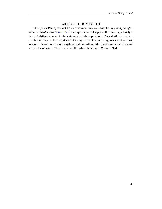#### **ARTICLE THIRTY-FORTH**

<span id="page-39-1"></span><span id="page-39-0"></span>The Apostle Paul speaks of Christians as dead. "You are dead," he says, "and your life is hid with Christ in God." [Col. iii. 3](http://www.ccel.org/study/Bible:Col.3.3). These expressions will apply, in their full import, only to those Christians who are in the state of unselfish or pure love. Their death is a death to selfishness. They are dead to pride and jealousy, self-seeking and envy, to malice, inordinate love of their own reputation, anything and every-thing which constitutes the fallen and vitiated life of nature. They have a new life, which is "hid with Christ in God."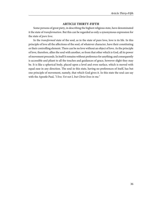#### **ARTICLE THIRTY-FIFTH**

<span id="page-40-0"></span>Some persons of great piety, in describing the highest religious state, have denominated it the state of transformation. But this can be regarded as only a synonymous expression for the state of pure love.

In the transformed state of the soul, as in the state of pure love, love is its life. In this principle of love all the affections of the soul, of whatever character, have their constituting or their controlling element. There can be no love without an object of love. As the principle of love, therefore, allies the soul with another, so from that other which is God, all its power of movement proceeds. In itself it remains without preference for anything; and consequently is accessible and pliant to all the touches and guidances of grace, however slight they may be. It is like a spherical body, placed upon a level and even surface, which is moved with equal ease in any direction. The soul in this state, having no preferences of itself, has but one principle of movement, namely, that which God gives it. In this state the soul can say with the Apostle Paul, "I live; Yet not I, but Christ lives in me."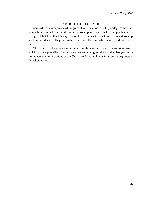#### **ARTICLE THIRTY-SIXTH**

<span id="page-41-0"></span>Souls which have experienced the grace of sanctification in its higher degrees, have not so much need of set times arid places for worship as others. Such is the purity and the strength of their love, that it is very easy for them to unite with God in acts of inward worship, at all times and places. They have an interior closet. The soul is their temple, and God dwells in it.

This, however, does not exempt them from those outward methods and observances which God has prescribed. Besides, they owe something to others; and a disregard to the ordinances and ministrations of the Church could not fail to be injurious to beginners in the religions life.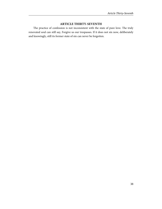#### **ARTICLE THIRTY-SEVENTH**

<span id="page-42-0"></span>The practice of confession is not inconsistent with the state of pure love. The truly renovated soul can still say, Forgive us our trespasses. If it does not sin now, deliberately and knowingly, still its former state of sin can never be forgotten.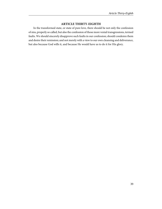#### **ARTICLE THIRTY-EIGHTH**

<span id="page-43-0"></span>In the transformed state, or state of pure love, there should be not only the confession of sins, properly so called, but also the confession of those more venial transgressions, termed faults. We should sincerely disapprove such faults in our confession; should condemn them and desire their remission; and not merely with a view to our own cleansing and deliverance, but also because God wills it, and because He would have us to do it for His glory.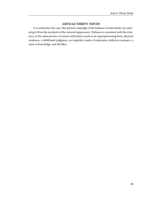#### **ARTICLE THIRTY-NINTH**

<span id="page-44-0"></span>It is sometimes the case, that persons misjudge of the holiness of individuals, by estimating it from the incidents of the outward appearance. Holiness is consistent with the existence, in the same person, of various infirmities; (such as an unprepossessing form, physical weakness, a debilitated judgment, an imperfect mode of expression, defective manners, a want of knowledge, and the like.)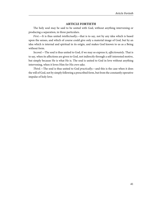#### **ARTICLE FORTIETH**

<span id="page-45-0"></span>The holy soul may be said to be united with God, without anything intervening or producing a separation, in three particulars.

First.—It is thus united intellectually;—that is to say, not by any idea which is based upon the senses, and which of course could give only a material image of God, but by an idea which is internal and spiritual in its origin, and makes God known to us as a Being without form.

Second.—The soul is thus united to God, if we may so express it, affectionately. That is to say, when its affections are given to God, not indirectly through a self-interested motive, but simply because He is what He is. The soul is united to God in love without anything intervening, when it loves Him for His own sake.

Third.—The soul is thus united to God practically;—and this is the case when it does the will of God, not by simply following a prescribed form, but from the constantly operative impulse of holy love.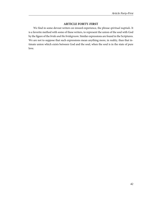#### **ARTICLE FORTY-FIRST**

<span id="page-46-0"></span>We find in some devout writers on inward experience, the phrase spiritual nuptials. It is a favorite method with some of these writers, to represent the union of the soul with God by the figure of the bride and the bridegroom. Similar expressions are found in the Scriptures. We are not to suppose that such expressions mean anything more, in reality, than that intimate union which exists between God and the soul, when the soul is in the state of pure love.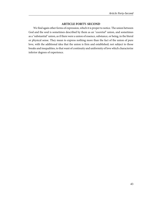#### **ARTICLE FORTY-SECOND**

<span id="page-47-0"></span>We find again other forms of expression, which it is proper to notice. The union between God and the soul is sometimes described by them as an "essential" union, and sometimes as a "substantial" union, as if there were a union of essence, substance, or being, in the literal or physical sense. They mean to express nothing more than the fact of the union of pure love, with the additional idea that the union is firm and established; not subject to those breaks and inequalities, to that want of continuity and uniformity of love which characterize inferior degrees of experience.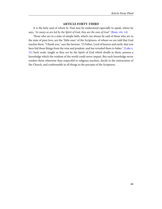#### **ARTICLE FORTY-THIRD**

<span id="page-48-2"></span><span id="page-48-0"></span>It is the holy soul of which St. Paul may be understood especially to speak, where he says, "As many as are led by the Spirit of God, they are the sons of God." ([Rom. viii. 14\)](http://www.ccel.org/study/Bible:Rom.8.14)

<span id="page-48-1"></span>Those who are in a state of simple faith, which can always be said of those who are in the state of pure love, are the "little ones" of the Scriptures, of whom we are told that God teaches them. "I thank you," says the Saviour, "O Father, Lord of heaven and earth, that you have hid these things from the wise and prudent, and has revealed them to babes." [\(Luke x.](http://www.ccel.org/study/Bible:Luke.10.21) [21\)](http://www.ccel.org/study/Bible:Luke.10.21) Such souls, taught as they are by the Spirit of God which dwells in them, possess a knowledge which the wisdom of the world could never impart. But such knowledge never renders them otherwise than respectful to religious teachers, docile to the instructions of the Church, and conformable in all things to the precepts of the Scriptures.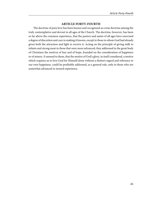#### **ARTICLE FORTY-FOURTH**

<span id="page-49-0"></span>The doctrine of pure love has been known and recognized as a true doctrine among the truly contemplative and devout in all ages of the Church. The doctrine, however, has been so far above the common experience, that the pastors and saints of all ages have exercised a degree of discretion and care in making it known, except to those to whom God had already given both the attraction and light to receive it. Acting on the principle of giving milk to infants and strong meat to those that were more advanced, they addressed in the great body of Christians the motives of fear and of hope, founded on the consideration of happiness or of misery. It seemed to them, that the motive of God's glory, in itself considered, a motive which requires us to love God for Himself alone without a distinct regard and reference to our own happiness, could he profitably addressed, as a general rule, only to those who are somewhat advanced in inward experience.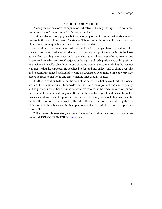#### **ARTICLE FORTY-FIFTH**

<span id="page-50-0"></span>Among the various forms of expression indicative of the highest experience, we sometimes find that of "Divine union," or "union with God."

Union with God, not a physical but moral or religious union, necessarily exists in souls that are in the state of pure love. The state of "Divine union" is not a higher state than that of pure love, but may rather be described as the same state.

Strive after it; but do not too readily or easily believe that you have attained to it. The traveler, after many fatigues and dangers, arrives at the top of a mountain. As he looks abroad from that high eminence, and in that clear atmosphere, he sees his native city; and it seems to him to be very near. Overjoyed at the sight, and perhaps deceived by his position, he proclaims himself as already at the end of his journey. But he soon finds that the distance was greater than he supposed. He is obliged to descend into valleys, and to climb over hills, and to surmount rugged rocks, and to wind his tired steps over many a mile of weary way, before he reaches that home and city, which he once thought so near.

It is thus in relation to the sanctification of the heart. True holiness of heart is the object at which the Christian aims. He beholds it before him, as an object of transcendent beauty, and as perhaps near at hand. But as he advances towards it, he finds the way longer and more difficult than he had imagined. But if on the one hand we should be careful not to mistake au intermediate stopping place for the end of the way, we should be equally careful on the other not to be discouraged by the difficulties we meet with; remembering that the obligation to be holy is always binding upon us, and that God will help those who put their trust in Him.

<span id="page-50-1"></span>"Whatsoever is born of God, overcomes the world; and this is the victory that overcomes the world, **EVEN OUR FAITH**." [\(1 John v. 4](http://www.ccel.org/study/Bible:1John.5.4))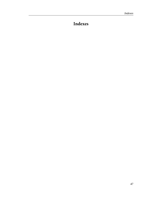## <span id="page-51-0"></span>**Indexes**